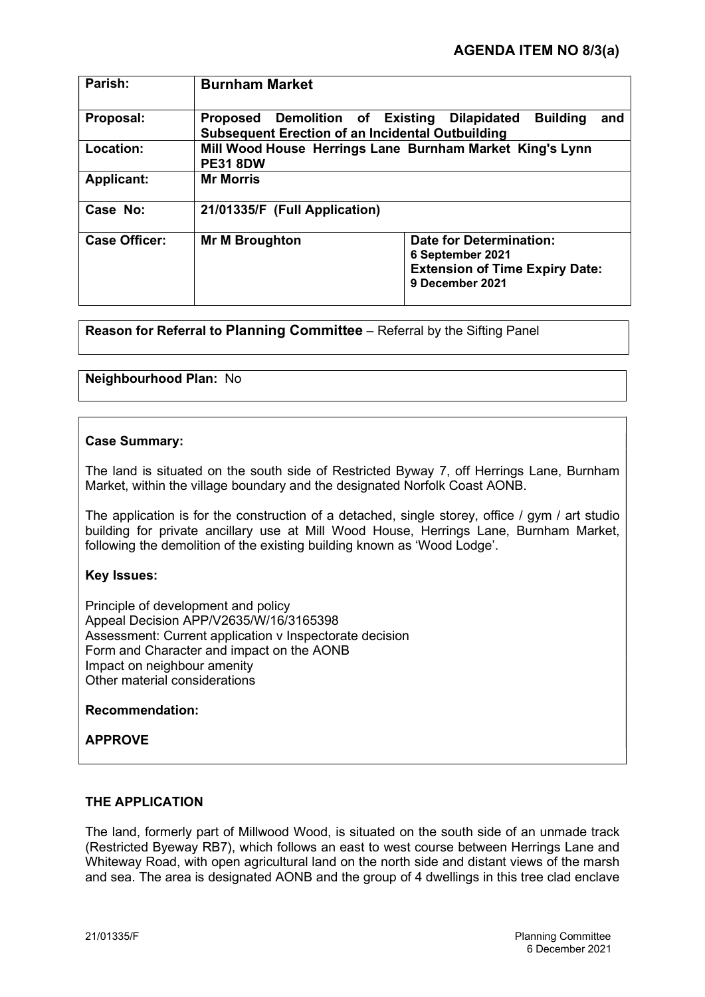| Parish:              | <b>Burnham Market</b>                                                                                                                      |
|----------------------|--------------------------------------------------------------------------------------------------------------------------------------------|
| Proposal:            | Proposed Demolition of Existing<br><b>Building</b><br><b>Dilapidated</b><br>and<br><b>Subsequent Erection of an Incidental Outbuilding</b> |
| Location:            | Mill Wood House Herrings Lane Burnham Market King's Lynn<br><b>PE31 8DW</b>                                                                |
| <b>Applicant:</b>    | <b>Mr Morris</b>                                                                                                                           |
| Case No:             | 21/01335/F (Full Application)                                                                                                              |
| <b>Case Officer:</b> | Date for Determination:<br><b>Mr M Broughton</b><br>6 September 2021<br><b>Extension of Time Expiry Date:</b><br>9 December 2021           |

Reason for Referral to Planning Committee – Referral by the Sifting Panel

# Neighbourhood Plan: No

## Case Summary:

The land is situated on the south side of Restricted Byway 7, off Herrings Lane, Burnham Market, within the village boundary and the designated Norfolk Coast AONB.

The application is for the construction of a detached, single storey, office / gym / art studio building for private ancillary use at Mill Wood House, Herrings Lane, Burnham Market, following the demolition of the existing building known as 'Wood Lodge'.

# Key Issues:

Principle of development and policy Appeal Decision APP/V2635/W/16/3165398 Assessment: Current application v Inspectorate decision Form and Character and impact on the AONB Impact on neighbour amenity Other material considerations

# Recommendation:

# APPROVE

# THE APPLICATION

The land, formerly part of Millwood Wood, is situated on the south side of an unmade track (Restricted Byeway RB7), which follows an east to west course between Herrings Lane and Whiteway Road, with open agricultural land on the north side and distant views of the marsh and sea. The area is designated AONB and the group of 4 dwellings in this tree clad enclave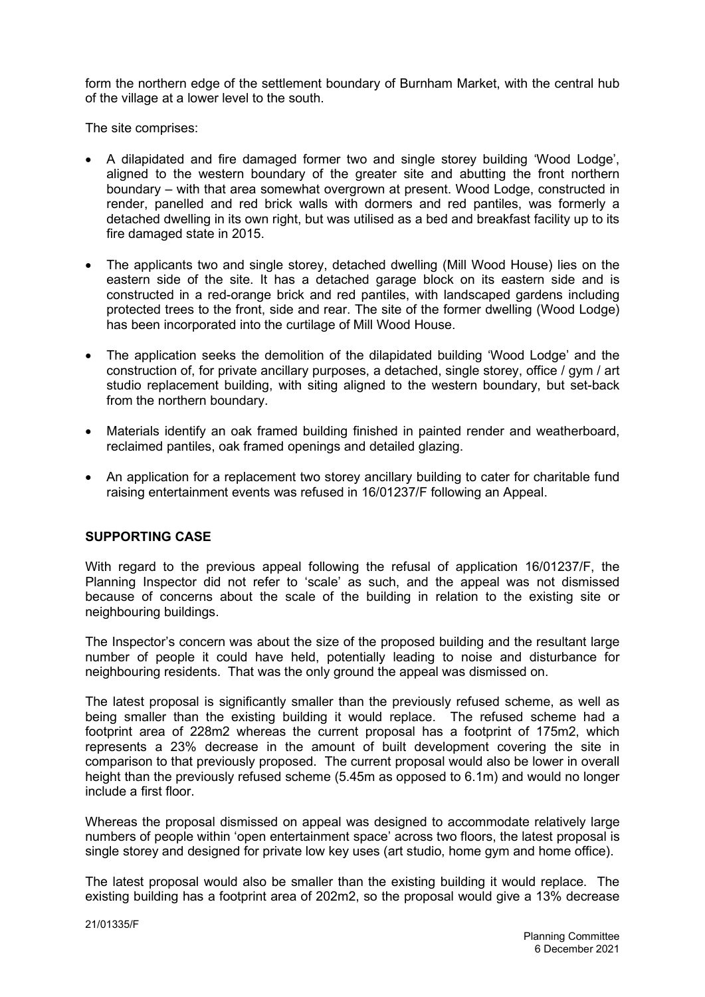form the northern edge of the settlement boundary of Burnham Market, with the central hub of the village at a lower level to the south.

The site comprises:

- A dilapidated and fire damaged former two and single storey building 'Wood Lodge', aligned to the western boundary of the greater site and abutting the front northern boundary – with that area somewhat overgrown at present. Wood Lodge, constructed in render, panelled and red brick walls with dormers and red pantiles, was formerly a detached dwelling in its own right, but was utilised as a bed and breakfast facility up to its fire damaged state in 2015.
- The applicants two and single storey, detached dwelling (Mill Wood House) lies on the eastern side of the site. It has a detached garage block on its eastern side and is constructed in a red-orange brick and red pantiles, with landscaped gardens including protected trees to the front, side and rear. The site of the former dwelling (Wood Lodge) has been incorporated into the curtilage of Mill Wood House.
- The application seeks the demolition of the dilapidated building 'Wood Lodge' and the construction of, for private ancillary purposes, a detached, single storey, office / gym / art studio replacement building, with siting aligned to the western boundary, but set-back from the northern boundary.
- Materials identify an oak framed building finished in painted render and weatherboard, reclaimed pantiles, oak framed openings and detailed glazing.
- An application for a replacement two storey ancillary building to cater for charitable fund raising entertainment events was refused in 16/01237/F following an Appeal.

# SUPPORTING CASE

With regard to the previous appeal following the refusal of application 16/01237/F, the Planning Inspector did not refer to 'scale' as such, and the appeal was not dismissed because of concerns about the scale of the building in relation to the existing site or neighbouring buildings.

The Inspector's concern was about the size of the proposed building and the resultant large number of people it could have held, potentially leading to noise and disturbance for neighbouring residents. That was the only ground the appeal was dismissed on.

The latest proposal is significantly smaller than the previously refused scheme, as well as being smaller than the existing building it would replace. The refused scheme had a footprint area of 228m2 whereas the current proposal has a footprint of 175m2, which represents a 23% decrease in the amount of built development covering the site in comparison to that previously proposed. The current proposal would also be lower in overall height than the previously refused scheme (5.45m as opposed to 6.1m) and would no longer include a first floor.

Whereas the proposal dismissed on appeal was designed to accommodate relatively large numbers of people within 'open entertainment space' across two floors, the latest proposal is single storey and designed for private low key uses (art studio, home gym and home office).

The latest proposal would also be smaller than the existing building it would replace. The existing building has a footprint area of 202m2, so the proposal would give a 13% decrease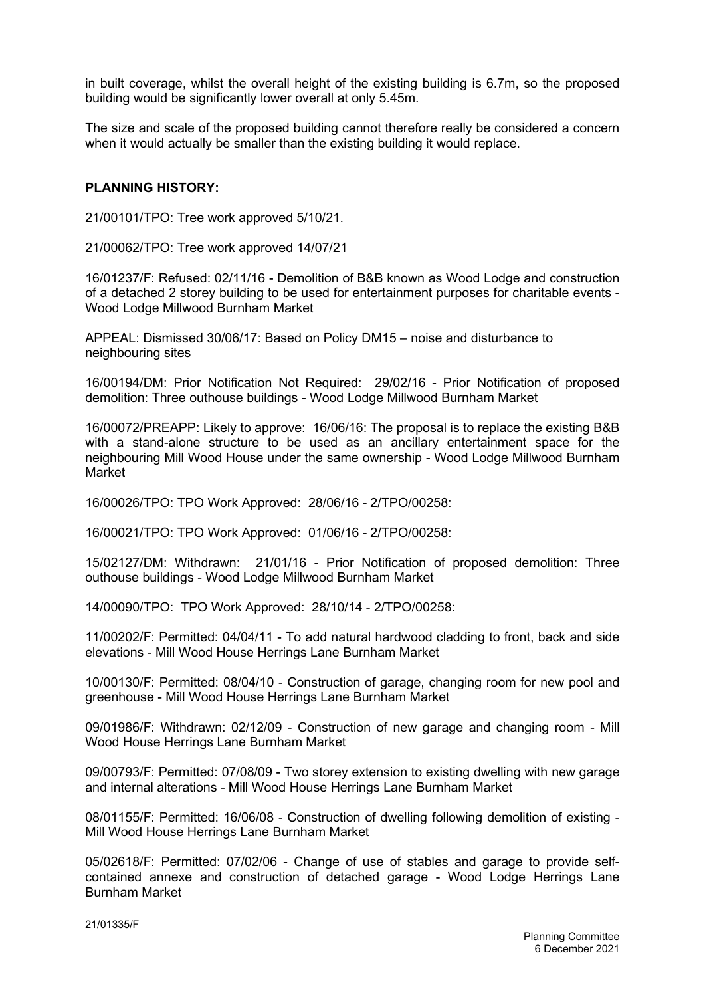in built coverage, whilst the overall height of the existing building is 6.7m, so the proposed building would be significantly lower overall at only 5.45m.

The size and scale of the proposed building cannot therefore really be considered a concern when it would actually be smaller than the existing building it would replace.

## PLANNING HISTORY:

21/00101/TPO: Tree work approved 5/10/21.

21/00062/TPO: Tree work approved 14/07/21

16/01237/F: Refused: 02/11/16 - Demolition of B&B known as Wood Lodge and construction of a detached 2 storey building to be used for entertainment purposes for charitable events - Wood Lodge Millwood Burnham Market

APPEAL: Dismissed 30/06/17: Based on Policy DM15 – noise and disturbance to neighbouring sites

16/00194/DM: Prior Notification Not Required: 29/02/16 - Prior Notification of proposed demolition: Three outhouse buildings - Wood Lodge Millwood Burnham Market

16/00072/PREAPP: Likely to approve: 16/06/16: The proposal is to replace the existing B&B with a stand-alone structure to be used as an ancillary entertainment space for the neighbouring Mill Wood House under the same ownership - Wood Lodge Millwood Burnham Market

16/00026/TPO: TPO Work Approved: 28/06/16 - 2/TPO/00258:

16/00021/TPO: TPO Work Approved: 01/06/16 - 2/TPO/00258:

15/02127/DM: Withdrawn: 21/01/16 - Prior Notification of proposed demolition: Three outhouse buildings - Wood Lodge Millwood Burnham Market

14/00090/TPO: TPO Work Approved: 28/10/14 - 2/TPO/00258:

11/00202/F: Permitted: 04/04/11 - To add natural hardwood cladding to front, back and side elevations - Mill Wood House Herrings Lane Burnham Market

10/00130/F: Permitted: 08/04/10 - Construction of garage, changing room for new pool and greenhouse - Mill Wood House Herrings Lane Burnham Market

09/01986/F: Withdrawn: 02/12/09 - Construction of new garage and changing room - Mill Wood House Herrings Lane Burnham Market

09/00793/F: Permitted: 07/08/09 - Two storey extension to existing dwelling with new garage and internal alterations - Mill Wood House Herrings Lane Burnham Market

08/01155/F: Permitted: 16/06/08 - Construction of dwelling following demolition of existing - Mill Wood House Herrings Lane Burnham Market

05/02618/F: Permitted: 07/02/06 - Change of use of stables and garage to provide selfcontained annexe and construction of detached garage - Wood Lodge Herrings Lane Burnham Market

21/01335/F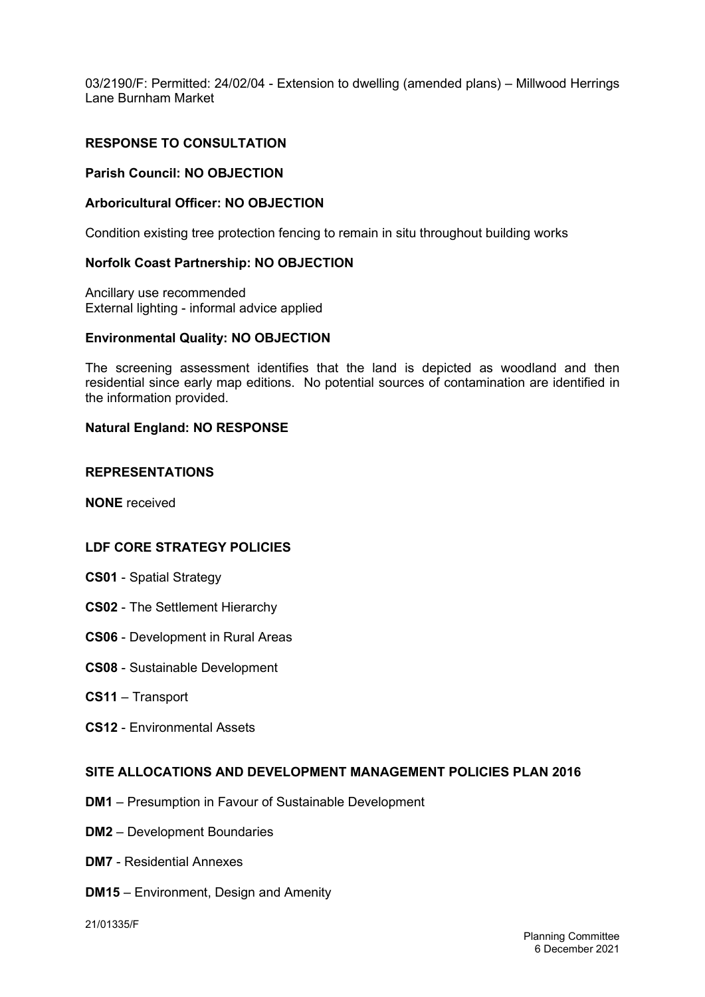03/2190/F: Permitted: 24/02/04 - Extension to dwelling (amended plans) – Millwood Herrings Lane Burnham Market

# RESPONSE TO CONSULTATION

### Parish Council: NO OBJECTION

### Arboricultural Officer: NO OBJECTION

Condition existing tree protection fencing to remain in situ throughout building works

### Norfolk Coast Partnership: NO OBJECTION

Ancillary use recommended External lighting - informal advice applied

#### Environmental Quality: NO OBJECTION

The screening assessment identifies that the land is depicted as woodland and then residential since early map editions. No potential sources of contamination are identified in the information provided.

## Natural England: NO RESPONSE

#### REPRESENTATIONS

NONE received

### LDF CORE STRATEGY POLICIES

- CS01 Spatial Strategy
- CS02 The Settlement Hierarchy
- CS06 Development in Rural Areas
- CS08 Sustainable Development
- CS11 Transport
- CS12 Environmental Assets

### SITE ALLOCATIONS AND DEVELOPMENT MANAGEMENT POLICIES PLAN 2016

- DM1 Presumption in Favour of Sustainable Development
- DM2 Development Boundaries
- DM7 Residential Annexes
- DM15 Environment, Design and Amenity

21/01335/F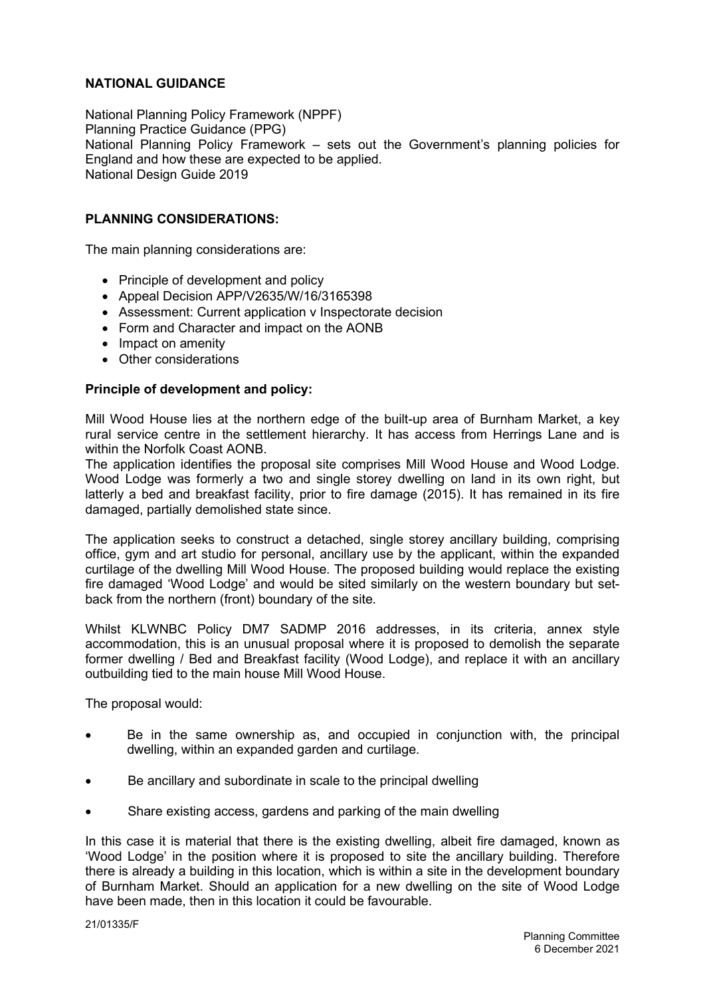# NATIONAL GUIDANCE

National Planning Policy Framework (NPPF) Planning Practice Guidance (PPG) National Planning Policy Framework – sets out the Government's planning policies for England and how these are expected to be applied. National Design Guide 2019

# PI ANNING CONSIDERATIONS:

The main planning considerations are:

- Principle of development and policy
- Appeal Decision APP/V2635/W/16/3165398
- Assessment: Current application v Inspectorate decision
- Form and Character and impact on the AONB
- Impact on amenity
- Other considerations

## Principle of development and policy:

Mill Wood House lies at the northern edge of the built-up area of Burnham Market, a key rural service centre in the settlement hierarchy. It has access from Herrings Lane and is within the Norfolk Coast AONB.

The application identifies the proposal site comprises Mill Wood House and Wood Lodge. Wood Lodge was formerly a two and single storey dwelling on land in its own right, but latterly a bed and breakfast facility, prior to fire damage (2015). It has remained in its fire damaged, partially demolished state since.

The application seeks to construct a detached, single storey ancillary building, comprising office, gym and art studio for personal, ancillary use by the applicant, within the expanded curtilage of the dwelling Mill Wood House. The proposed building would replace the existing fire damaged 'Wood Lodge' and would be sited similarly on the western boundary but setback from the northern (front) boundary of the site.

Whilst KLWNBC Policy DM7 SADMP 2016 addresses, in its criteria, annex style accommodation, this is an unusual proposal where it is proposed to demolish the separate former dwelling / Bed and Breakfast facility (Wood Lodge), and replace it with an ancillary outbuilding tied to the main house Mill Wood House.

The proposal would:

- Be in the same ownership as, and occupied in conjunction with, the principal dwelling, within an expanded garden and curtilage.
- Be ancillary and subordinate in scale to the principal dwelling
- Share existing access, gardens and parking of the main dwelling

In this case it is material that there is the existing dwelling, albeit fire damaged, known as 'Wood Lodge' in the position where it is proposed to site the ancillary building. Therefore there is already a building in this location, which is within a site in the development boundary of Burnham Market. Should an application for a new dwelling on the site of Wood Lodge have been made, then in this location it could be favourable.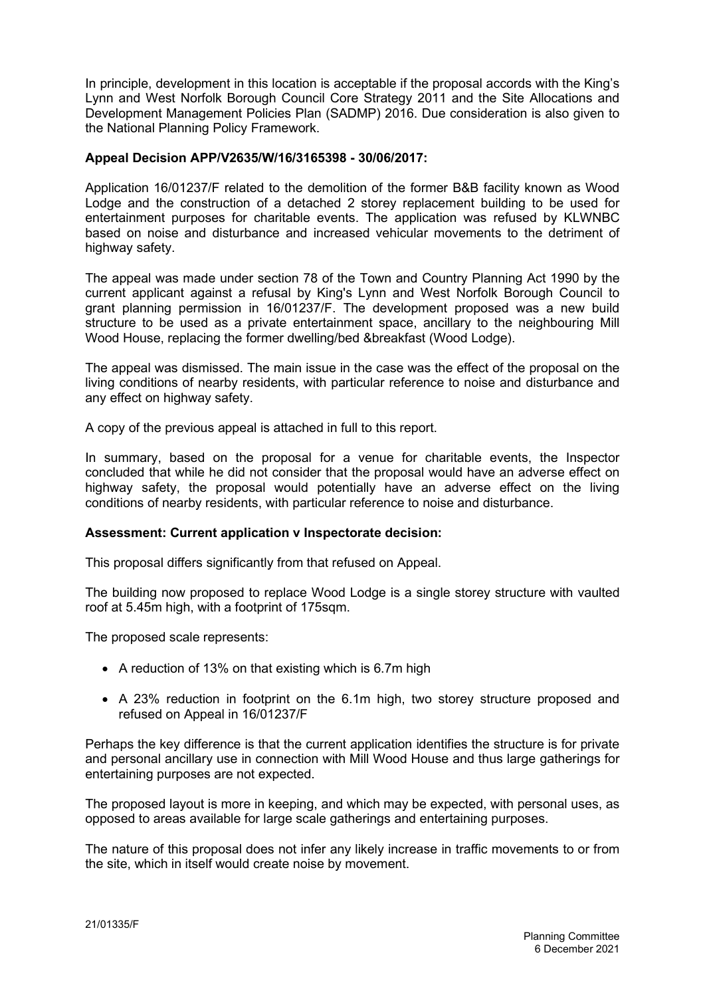In principle, development in this location is acceptable if the proposal accords with the King's Lynn and West Norfolk Borough Council Core Strategy 2011 and the Site Allocations and Development Management Policies Plan (SADMP) 2016. Due consideration is also given to the National Planning Policy Framework.

# Appeal Decision APP/V2635/W/16/3165398 - 30/06/2017:

Application 16/01237/F related to the demolition of the former B&B facility known as Wood Lodge and the construction of a detached 2 storey replacement building to be used for entertainment purposes for charitable events. The application was refused by KLWNBC based on noise and disturbance and increased vehicular movements to the detriment of highway safety.

The appeal was made under section 78 of the Town and Country Planning Act 1990 by the current applicant against a refusal by King's Lynn and West Norfolk Borough Council to grant planning permission in 16/01237/F. The development proposed was a new build structure to be used as a private entertainment space, ancillary to the neighbouring Mill Wood House, replacing the former dwelling/bed &breakfast (Wood Lodge).

The appeal was dismissed. The main issue in the case was the effect of the proposal on the living conditions of nearby residents, with particular reference to noise and disturbance and any effect on highway safety.

A copy of the previous appeal is attached in full to this report.

In summary, based on the proposal for a venue for charitable events, the Inspector concluded that while he did not consider that the proposal would have an adverse effect on highway safety, the proposal would potentially have an adverse effect on the living conditions of nearby residents, with particular reference to noise and disturbance.

# Assessment: Current application v Inspectorate decision:

This proposal differs significantly from that refused on Appeal.

The building now proposed to replace Wood Lodge is a single storey structure with vaulted roof at 5.45m high, with a footprint of 175sqm.

The proposed scale represents:

- A reduction of 13% on that existing which is 6.7m high
- A 23% reduction in footprint on the 6.1m high, two storey structure proposed and refused on Appeal in 16/01237/F

Perhaps the key difference is that the current application identifies the structure is for private and personal ancillary use in connection with Mill Wood House and thus large gatherings for entertaining purposes are not expected.

The proposed layout is more in keeping, and which may be expected, with personal uses, as opposed to areas available for large scale gatherings and entertaining purposes.

The nature of this proposal does not infer any likely increase in traffic movements to or from the site, which in itself would create noise by movement.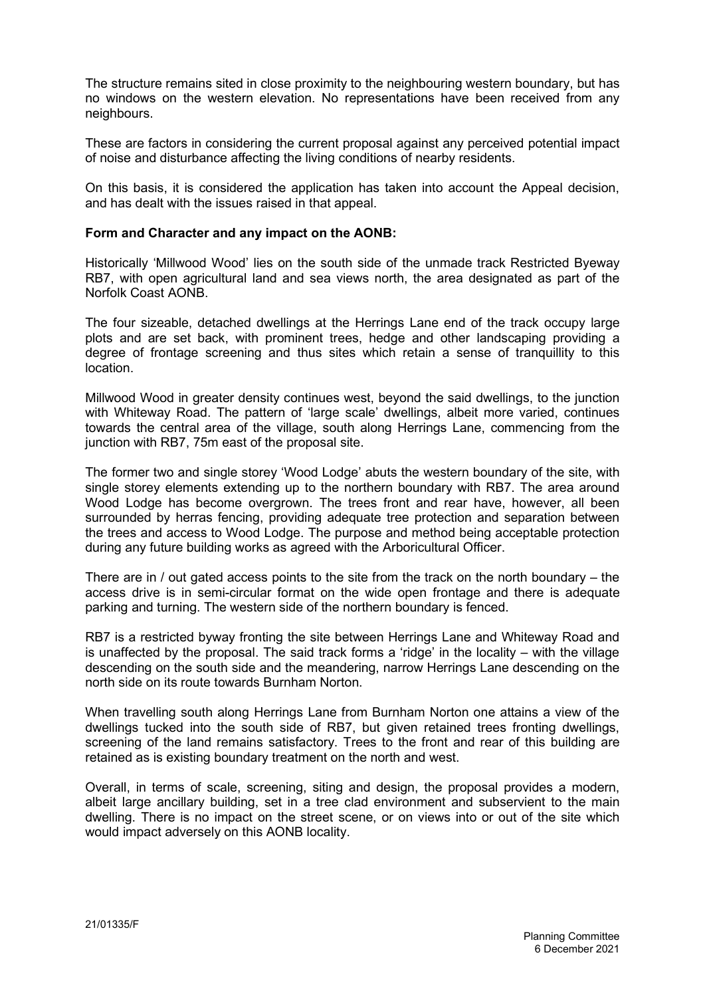The structure remains sited in close proximity to the neighbouring western boundary, but has no windows on the western elevation. No representations have been received from any neighbours.

These are factors in considering the current proposal against any perceived potential impact of noise and disturbance affecting the living conditions of nearby residents.

On this basis, it is considered the application has taken into account the Appeal decision, and has dealt with the issues raised in that appeal.

### Form and Character and any impact on the AONB:

Historically 'Millwood Wood' lies on the south side of the unmade track Restricted Byeway RB7, with open agricultural land and sea views north, the area designated as part of the Norfolk Coast AONB.

The four sizeable, detached dwellings at the Herrings Lane end of the track occupy large plots and are set back, with prominent trees, hedge and other landscaping providing a degree of frontage screening and thus sites which retain a sense of tranquillity to this location.

Millwood Wood in greater density continues west, beyond the said dwellings, to the junction with Whiteway Road. The pattern of 'large scale' dwellings, albeit more varied, continues towards the central area of the village, south along Herrings Lane, commencing from the junction with RB7, 75m east of the proposal site.

The former two and single storey 'Wood Lodge' abuts the western boundary of the site, with single storey elements extending up to the northern boundary with RB7. The area around Wood Lodge has become overgrown. The trees front and rear have, however, all been surrounded by herras fencing, providing adequate tree protection and separation between the trees and access to Wood Lodge. The purpose and method being acceptable protection during any future building works as agreed with the Arboricultural Officer.

There are in / out gated access points to the site from the track on the north boundary – the access drive is in semi-circular format on the wide open frontage and there is adequate parking and turning. The western side of the northern boundary is fenced.

RB7 is a restricted byway fronting the site between Herrings Lane and Whiteway Road and is unaffected by the proposal. The said track forms a 'ridge' in the locality – with the village descending on the south side and the meandering, narrow Herrings Lane descending on the north side on its route towards Burnham Norton.

When travelling south along Herrings Lane from Burnham Norton one attains a view of the dwellings tucked into the south side of RB7, but given retained trees fronting dwellings, screening of the land remains satisfactory. Trees to the front and rear of this building are retained as is existing boundary treatment on the north and west.

Overall, in terms of scale, screening, siting and design, the proposal provides a modern, albeit large ancillary building, set in a tree clad environment and subservient to the main dwelling. There is no impact on the street scene, or on views into or out of the site which would impact adversely on this AONB locality.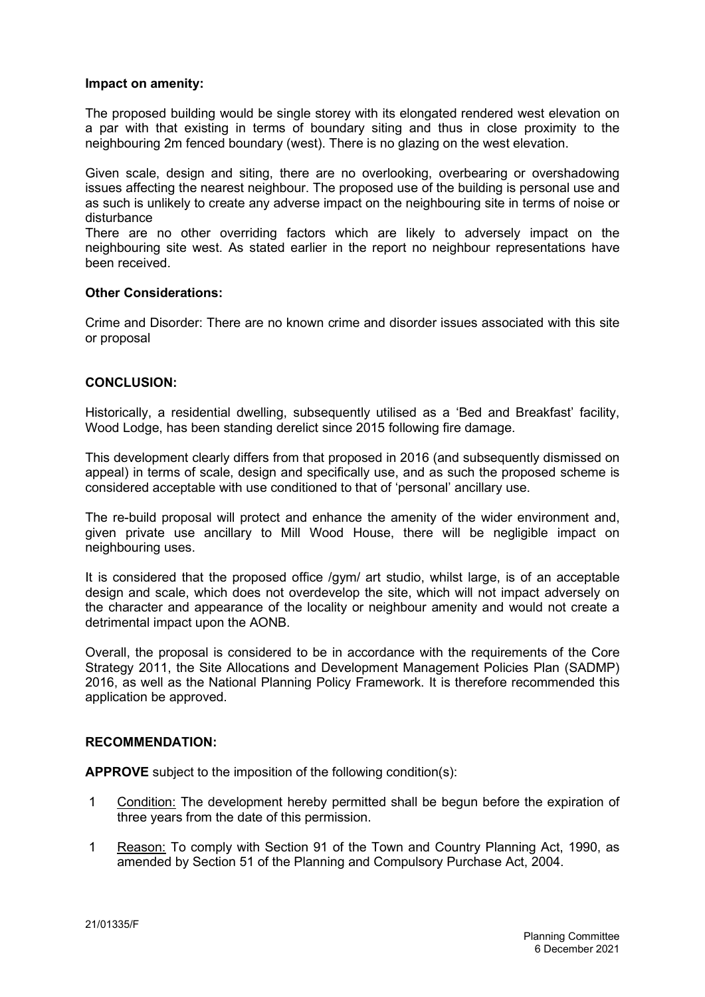## Impact on amenity:

The proposed building would be single storey with its elongated rendered west elevation on a par with that existing in terms of boundary siting and thus in close proximity to the neighbouring 2m fenced boundary (west). There is no glazing on the west elevation.

Given scale, design and siting, there are no overlooking, overbearing or overshadowing issues affecting the nearest neighbour. The proposed use of the building is personal use and as such is unlikely to create any adverse impact on the neighbouring site in terms of noise or disturbance

There are no other overriding factors which are likely to adversely impact on the neighbouring site west. As stated earlier in the report no neighbour representations have been received.

## Other Considerations:

Crime and Disorder: There are no known crime and disorder issues associated with this site or proposal

## CONCLUSION:

Historically, a residential dwelling, subsequently utilised as a 'Bed and Breakfast' facility, Wood Lodge, has been standing derelict since 2015 following fire damage.

This development clearly differs from that proposed in 2016 (and subsequently dismissed on appeal) in terms of scale, design and specifically use, and as such the proposed scheme is considered acceptable with use conditioned to that of 'personal' ancillary use.

The re-build proposal will protect and enhance the amenity of the wider environment and, given private use ancillary to Mill Wood House, there will be negligible impact on neighbouring uses.

It is considered that the proposed office /gym/ art studio, whilst large, is of an acceptable design and scale, which does not overdevelop the site, which will not impact adversely on the character and appearance of the locality or neighbour amenity and would not create a detrimental impact upon the AONB.

Overall, the proposal is considered to be in accordance with the requirements of the Core Strategy 2011, the Site Allocations and Development Management Policies Plan (SADMP) 2016, as well as the National Planning Policy Framework. It is therefore recommended this application be approved.

# RECOMMENDATION:

APPROVE subject to the imposition of the following condition(s):

- 1 Condition: The development hereby permitted shall be begun before the expiration of three years from the date of this permission.
- 1 Reason: To comply with Section 91 of the Town and Country Planning Act, 1990, as amended by Section 51 of the Planning and Compulsory Purchase Act, 2004.